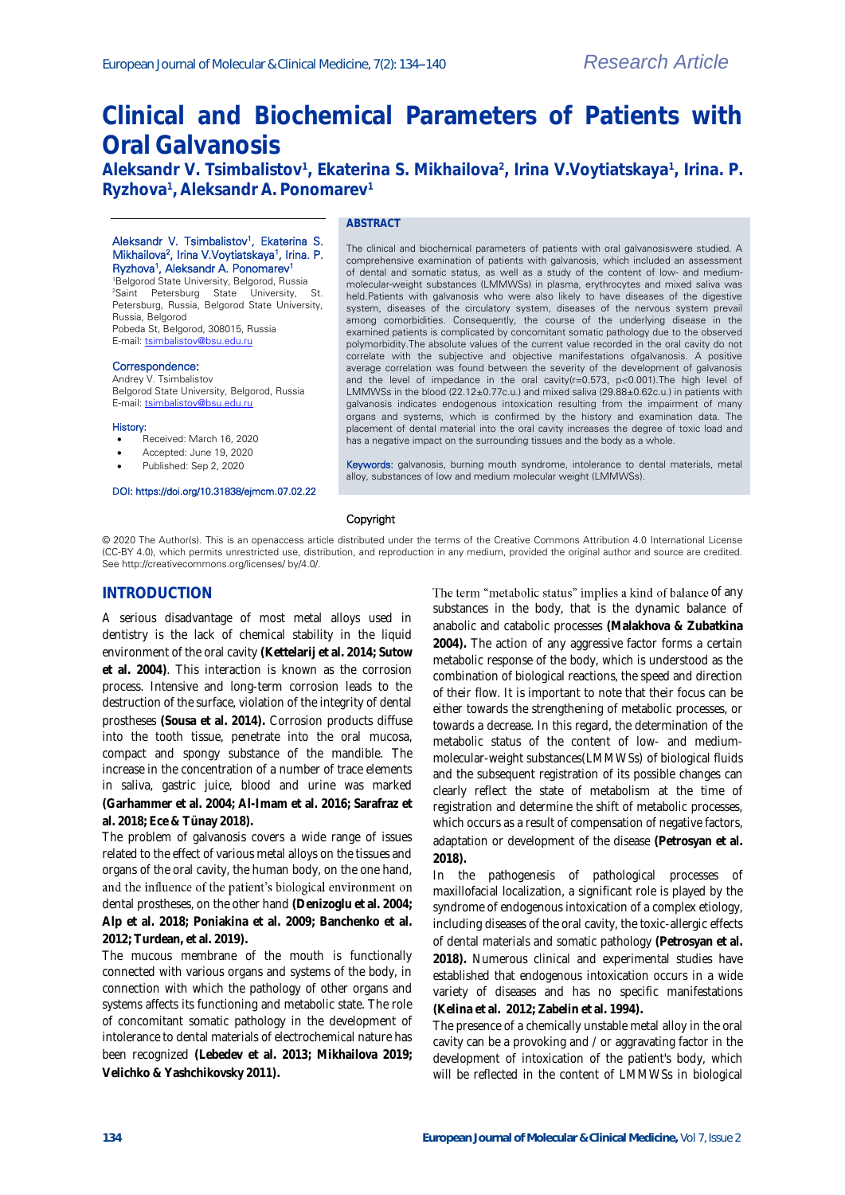# **Clinical and Biochemical Parameters of Patients with Oral Galvanosis**

**Aleksandr V. Tsimbalistov<sup>1</sup> , Ekaterina S. Mikhailova<sup>2</sup> , Irina V.Voytiatskaya<sup>1</sup> , Irina. P. Ryzhova<sup>1</sup> , Aleksandr A. Ponomarev<sup>1</sup>**

## **ABSTRACT**

#### Aleksandr V. Tsimbalistov<sup>1</sup>, Ekaterina S. Mikhailova<sup>2</sup>, Irina V.Voytiatskaya<sup>1</sup>, Irina. P. Ryzhova<sup>1</sup>, Aleksandr A. Ponomarev<sup>1</sup>

<sup>1</sup>Belgorod State University, Belgorod, Russia <sup>2</sup>Saint Petersburg State University, St. Petersburg, Russia, Belgorod State University, Russia, Belgorod Pobeda St, Belgorod, 308015, Russia<br>E-mail: tsimbalistov@bsu.edu.ru stov@bsu.edu.ru

#### Correspondence:

Andrey V. Tsimbalistov Belgorod State University, Belgorod, Russia E-mail[: tsimbalistov@bsu.edu.ru](mailto:tsimbalistov@bsu.edu.ru)

#### History:

- Received: March 16, 2020
- Accepted: June 19, 2020
- Published: Sep 2, 2020
- 

### DOI: https://doi.org/10.31838/ejmcm.07.02.22

#### The clinical and biochemical parameters of patients with oral galvanosiswere studied. A comprehensive examination of patients with galvanosis, which included an assessment of dental and somatic status, as well as a study of the content of low- and mediummolecular-weight substances (LMMWSs) in plasma, erythrocytes and mixed saliva was held.Patients with galvanosis who were also likely to have diseases of the digestive system, diseases of the circulatory system, diseases of the nervous system prevail among comorbidities. Consequently, the course of the underlying disease in the examined patients is complicated by concomitant somatic pathology due to the observed polymorbidity.The absolute values of the current value recorded in the oral cavity do not correlate with the subjective and objective manifestations ofgalvanosis. A positive average correlation was found between the severity of the development of galvanosis and the level of impedance in the oral cavity(r=0.573, p<0.001).The high level of LMMWSs in the blood (22.12±0.77c.u.) and mixed saliva (29.88±0.62c.u.) in patients with galvanosis indicates endogenous intoxication resulting from the impairment of many organs and systems, which is confirmed by the history and examination data. The placement of dental material into the oral cavity increases the degree of toxic load and has a negative impact on the surrounding tissues and the body as a whole.

Keywords: galvanosis, burning mouth syndrome, intolerance to dental materials, metal alloy, substances of low and medium molecular weight (LMMWSs).

#### Copyright

© 2020 The Author(s). This is an openaccess article distributed under the terms of the Creative Commons Attribution 4.0 International License (CC-BY 4.0), which permits unrestricted use, distribution, and reproduction in any medium, provided the original author and source are credited. See http://creativecommons.org/licenses/ by/4.0/.

## **INTRODUCTION**

A serious disadvantage of most metal alloys used in dentistry is the lack of chemical stability in the liquid environment of the oral cavity **(Kettelarij et al. 2014; Sutow et al. 2004)**. This interaction is known as the corrosion process. Intensive and long-term corrosion leads to the destruction of the surface, violation of the integrity of dental prostheses **(Sousa et al. 2014).** Corrosion products diffuse into the tooth tissue, penetrate into the oral mucosa, compact and spongy substance of the mandible. The increase in the concentration of a number of trace elements in saliva, gastric juice, blood and urine was marked **(Garhammer et al. 2004; Al-Imam et al. 2016; Sarafraz et al. 2018; Ece & Tünay 2018).**

The problem of galvanosis covers a wide range of issues related to the effect of various metal alloys on the tissues and organs of the oral cavity, the human body, on the one hand, and the influence of the patient's biological environment on dental prostheses, on the other hand **(Denizoglu et al. 2004; Alp et al. 2018; Poniakina et al. 2009; Banchenko et al. 2012; Turdean, et al. 2019).**

The mucous membrane of the mouth is functionally connected with various organs and systems of the body, in connection with which the pathology of other organs and systems affects its functioning and metabolic state. The role of concomitant somatic pathology in the development of intolerance to dental materials of electrochemical nature has been recognized **(Lebedev et al. 2013; Mikhailova 2019; Velichko & Yashchikovsky 2011).**

The term "metabolic status" implies a kind of balance of any substances in the body, that is the dynamic balance of anabolic and catabolic processes **(Malakhova & Zubatkina 2004).** The action of any aggressive factor forms a certain metabolic response of the body, which is understood as the combination of biological reactions, the speed and direction of their flow. It is important to note that their focus can be either towards the strengthening of metabolic processes, or towards a decrease. In this regard, the determination of the metabolic status of the content of low- and mediummolecular-weight substances(LMMWSs) of biological fluids and the subsequent registration of its possible changes can clearly reflect the state of metabolism at the time of registration and determine the shift of metabolic processes, which occurs as a result of compensation of negative factors, adaptation or development of the disease **(Petrosyan et al. 2018).**

In the pathogenesis of pathological processes of maxillofacial localization, a significant role is played by the syndrome of endogenous intoxication of a complex etiology, including diseases of the oral cavity, the toxic-allergic effects of dental materials and somatic pathology **(Petrosyan et al. 2018).** Numerous clinical and experimental studies have established that endogenous intoxication occurs in a wide variety of diseases and has no specific manifestations **(Kelina et al. 2012; Zabelin et al. 1994).**

The presence of a chemically unstable metal alloy in the oral cavity can be a provoking and / or aggravating factor in the development of intoxication of the patient's body, which will be reflected in the content of LMMWSs in biological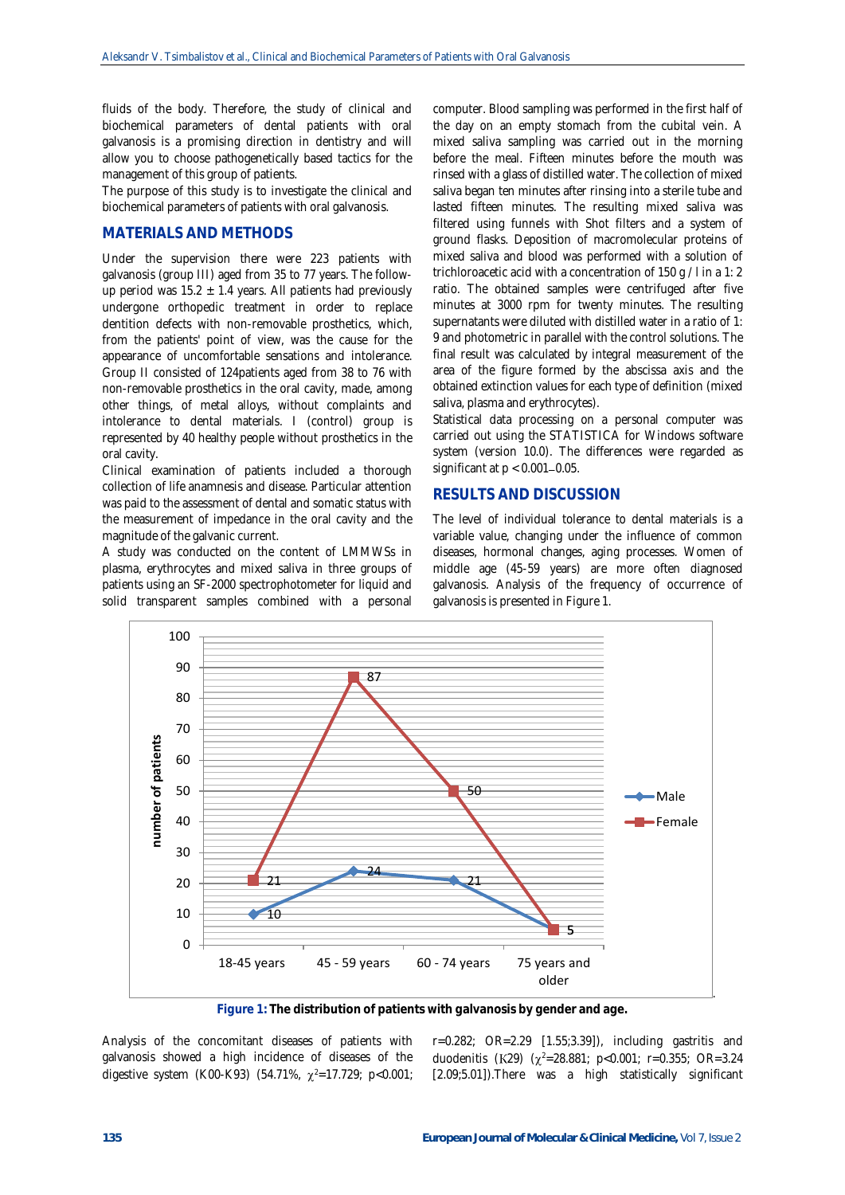fluids of the body. Therefore, the study of clinical and biochemical parameters of dental patients with oral galvanosis is a promising direction in dentistry and will allow you to choose pathogenetically based tactics for the management of this group of patients.

The purpose of this study is to investigate the clinical and biochemical parameters of patients with oral galvanosis.

## **MATERIALS AND METHODS**

Under the supervision there were 223 patients with galvanosis (group III) aged from 35 to 77 years. The followup period was  $15.2 \pm 1.4$  years. All patients had previously undergone orthopedic treatment in order to replace dentition defects with non-removable prosthetics, which, from the patients' point of view, was the cause for the appearance of uncomfortable sensations and intolerance. Group II consisted of 124patients aged from 38 to 76 with non-removable prosthetics in the oral cavity, made, among other things, of metal alloys, without complaints and intolerance to dental materials. I (control) group is represented by 40 healthy people without prosthetics in the oral cavity.

Clinical examination of patients included a thorough collection of life anamnesis and disease. Particular attention was paid to the assessment of dental and somatic status with the measurement of impedance in the oral cavity and the magnitude of the galvanic current.

A study was conducted on the content of LMMWSs in plasma, erythrocytes and mixed saliva in three groups of patients using an SF-2000 spectrophotometer for liquid and solid transparent samples combined with a personal computer. Blood sampling was performed in the first half of the day on an empty stomach from the cubital vein. A mixed saliva sampling was carried out in the morning before the meal. Fifteen minutes before the mouth was rinsed with a glass of distilled water. The collection of mixed saliva began ten minutes after rinsing into a sterile tube and lasted fifteen minutes. The resulting mixed saliva was filtered using funnels with Shot filters and a system of ground flasks. Deposition of macromolecular proteins of mixed saliva and blood was performed with a solution of trichloroacetic acid with a concentration of 150 g / l in a 1: 2 ratio. The obtained samples were centrifuged after five minutes at 3000 rpm for twenty minutes. The resulting supernatants were diluted with distilled water in a ratio of 1: 9 and photometric in parallel with the control solutions. The final result was calculated by integral measurement of the area of the figure formed by the abscissa axis and the obtained extinction values for each type of definition (mixed saliva, plasma and erythrocytes).

Statistical data processing on a personal computer was carried out using the STATISTICA for Windows software system (version 10.0). The differences were regarded as significant at  $p < 0.001 - 0.05$ .

## **RESULTS AND DISCUSSION**

The level of individual tolerance to dental materials is a variable value, changing under the influence of common diseases, hormonal changes, aging processes. Women of middle age (45-59 years) are more often diagnosed galvanosis. Analysis of the frequency of occurrence of galvanosis is presented in Figure 1.



**Figure 1: The distribution of patients with galvanosis by gender and age.**

Analysis of the concomitant diseases of patients with galvanosis showed a high incidence of diseases of the digestive system (K00-K93) (54.71%,  $\chi^2$ =17.729; p<0.001;

r=0.282; OR=2.29 [1.55;3.39]), including gastritis and duodenitis (K29)  $(\chi^2=28.881; p<0.001; r=0.355; OR=3.24)$ [2.09;5.01]).There was a high statistically significant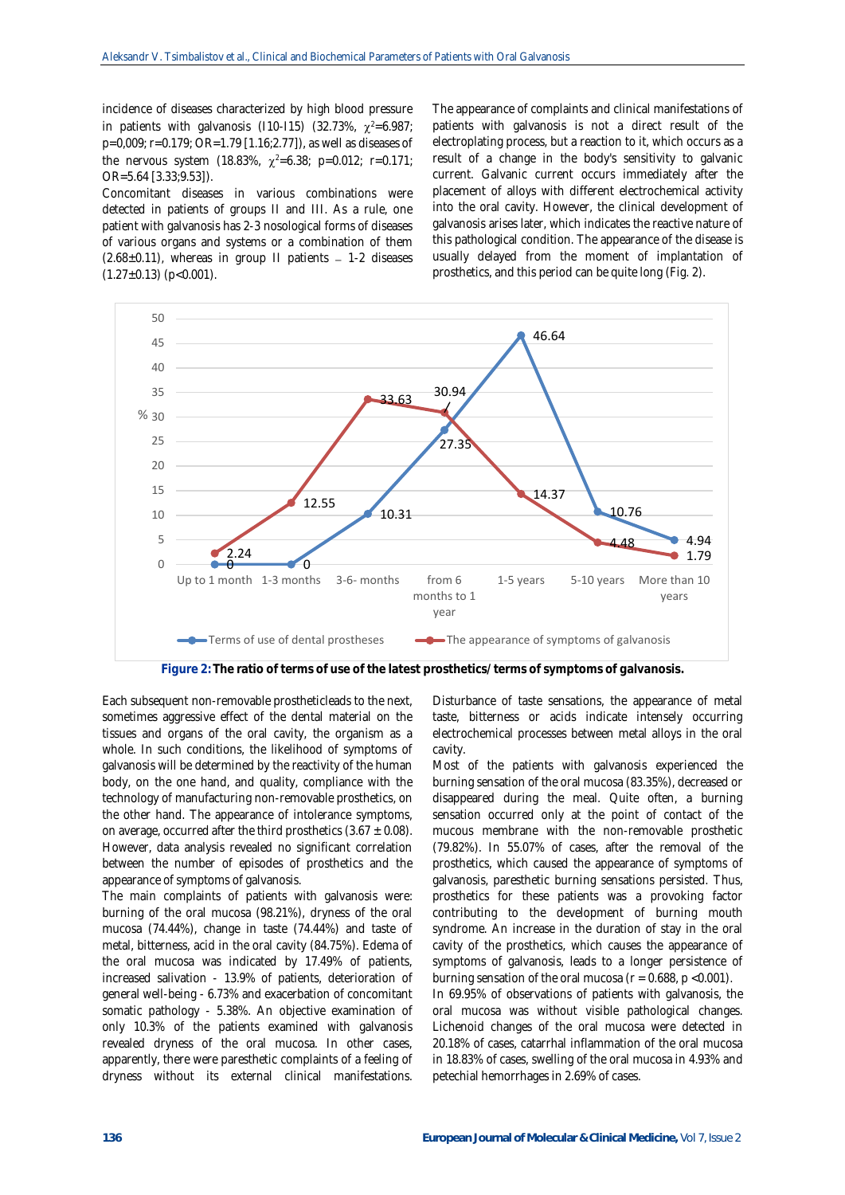incidence of diseases characterized by high blood pressure in patients with galvanosis (110-115) (32.73%,  $\chi^2$ =6.987; p=0,009; r=0.179; OR=1.79 [1.16;2.77]), as well as diseases of the nervous system (18.83%,  $\chi^2$ =6.38; p=0.012; r=0.171; OR=5.64 [3.33;9.53]).

Concomitant diseases in various combinations were detected in patients of groups II and III. As a rule, one patient with galvanosis has 2-3 nosological forms of diseases of various organs and systems or a combination of them  $(2.68\pm0.11)$ , whereas in group II patients - 1-2 diseases  $(1.27 \pm 0.13)$  (p<0.001).

The appearance of complaints and clinical manifestations of patients with galvanosis is not a direct result of the electroplating process, but a reaction to it, which occurs as a result of a change in the body's sensitivity to galvanic current. Galvanic current occurs immediately after the placement of alloys with different electrochemical activity into the oral cavity. However, the clinical development of galvanosis arises later, which indicates the reactive nature of this pathological condition. The appearance of the disease is usually delayed from the moment of implantation of prosthetics, and this period can be quite long (Fig. 2).



**Figure 2: The ratio of terms of use of the latest prosthetics/ terms of symptoms of galvanosis.**

Each subsequent non-removable prostheticleads to the next, sometimes aggressive effect of the dental material on the tissues and organs of the oral cavity, the organism as a whole. In such conditions, the likelihood of symptoms of galvanosis will be determined by the reactivity of the human body, on the one hand, and quality, compliance with the technology of manufacturing non-removable prosthetics, on the other hand. The appearance of intolerance symptoms, on average, occurred after the third prosthetics  $(3.67 \pm 0.08)$ . However, data analysis revealed no significant correlation between the number of episodes of prosthetics and the appearance of symptoms of galvanosis.

The main complaints of patients with galvanosis were: burning of the oral mucosa (98.21%), dryness of the oral mucosa (74.44%), change in taste (74.44%) and taste of metal, bitterness, acid in the oral cavity (84.75%). Edema of the oral mucosa was indicated by 17.49% of patients, increased salivation - 13.9% of patients, deterioration of general well-being - 6.73% and exacerbation of concomitant somatic pathology - 5.38%. An objective examination of only 10.3% of the patients examined with galvanosis revealed dryness of the oral mucosa. In other cases, apparently, there were paresthetic complaints of a feeling of dryness without its external clinical manifestations.

Disturbance of taste sensations, the appearance of metal taste, bitterness or acids indicate intensely occurring electrochemical processes between metal alloys in the oral cavity.

Most of the patients with galvanosis experienced the burning sensation of the oral mucosa (83.35%), decreased or disappeared during the meal. Quite often, a burning sensation occurred only at the point of contact of the mucous membrane with the non-removable prosthetic (79.82%). In 55.07% of cases, after the removal of the prosthetics, which caused the appearance of symptoms of galvanosis, paresthetic burning sensations persisted. Thus, prosthetics for these patients was a provoking factor contributing to the development of burning mouth syndrome. An increase in the duration of stay in the oral cavity of the prosthetics, which causes the appearance of symptoms of galvanosis, leads to a longer persistence of burning sensation of the oral mucosa ( $r = 0.688$ ,  $p < 0.001$ ).

In 69.95% of observations of patients with galvanosis, the oral mucosa was without visible pathological changes. Lichenoid changes of the oral mucosa were detected in 20.18% of cases, catarrhal inflammation of the oral mucosa in 18.83% of cases, swelling of the oral mucosa in 4.93% and petechial hemorrhages in 2.69% of cases.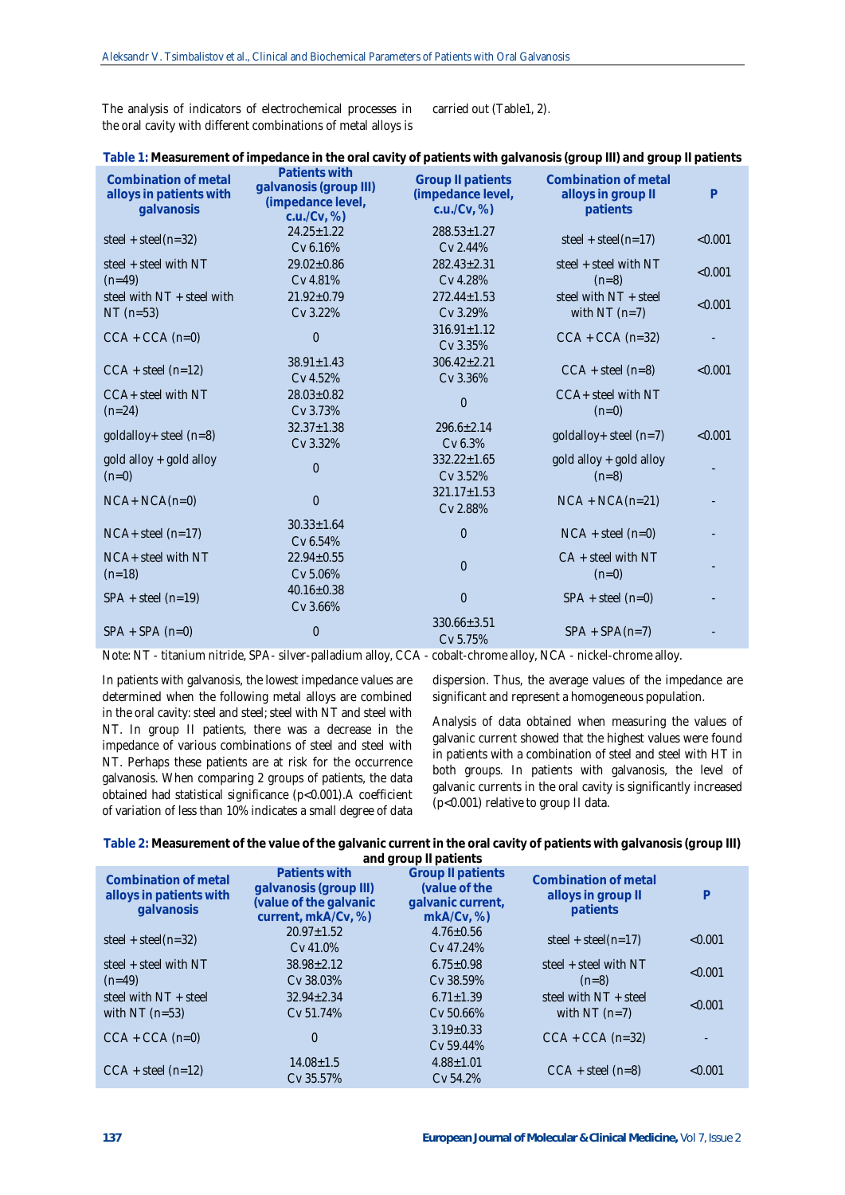The analysis of indicators of electrochemical processes in the oral cavity with different combinations of metal alloys is carried out (Table1, 2).

| Combination of metal<br>alloys in patients with<br>galvanosis | Patients with<br>galvanosis (group III)<br>(impedance level,<br>c.u./Cv, % | <b>Group II patients</b><br>(impedance level,<br>c.u./Cv, % | Combination of metal<br>alloys in group II<br>patients | $\mathsf{P}$ |
|---------------------------------------------------------------|----------------------------------------------------------------------------|-------------------------------------------------------------|--------------------------------------------------------|--------------|
| steel + steel( $n=32$ )                                       | $24.25 \pm 1.22$<br>Cv 6.16%                                               | $288.53 \pm 1.27$<br>Cv 2.44%                               | steel + steel( $n=17$ )                                | < 0.001      |
| steel + steel with NT                                         | $29.02 \pm 0.86$                                                           | $282.43 \pm 2.31$                                           | steel + steel with NT                                  | < 0.001      |
| $(n=49)$                                                      | Cv 4.81%                                                                   | Cv 4.28%                                                    | $(n=8)$                                                |              |
| steel with NT + steel with                                    | $21.92 \pm 0.79$                                                           | $272.44 \pm 1.53$                                           | steel with NT + steel                                  | < 0.001      |
| $NT(n=53)$                                                    | Cv 3.22%                                                                   | Cv 3.29%                                                    | with $NT(n=7)$                                         |              |
| $CCA + CCA (n=0)$                                             | $\overline{0}$                                                             | $316.91 \pm 1.12$<br>Cv 3.35%                               | $CCA + CCA (n=32)$                                     |              |
| $CCA + steel (n=12)$                                          | $38.91 \pm 1.43$<br>Cv 4.52%                                               | $306.42 \pm 2.21$<br>$CCA + steel (n=8)$<br>Cv 3.36%        |                                                        | < 0.001      |
| CCA+ steel with NT<br>$(n=24)$                                | $28.03 \pm 0.82$<br>Cv 3.73%                                               | $\overline{0}$                                              | CCA+ steel with NT<br>$(n=0)$                          |              |
| goldalloy+ steel (n=8)                                        | $32.37 \pm 1.38$<br>Cv 3.32%                                               | $296.6 \pm 2.14$<br>Cv 6.3%                                 | goldalloy+ steel (n=7)                                 | < 0.001      |
| gold alloy + gold alloy<br>$(n=0)$                            | $\overline{0}$                                                             | $332.22 \pm 1.65$<br>Cv 3.52%                               | gold alloy + gold alloy<br>$(n=8)$                     |              |
| $NCA+ NCA(n=0)$                                               | $\overline{0}$                                                             | $321.17 \pm 1.53$<br>Cv 2.88%                               | $NCA + NCA(n=21)$                                      |              |
| $NCA+$ steel $(n=17)$                                         | $30.33 \pm 1.64$<br>Cv 6.54%                                               | $\overline{0}$                                              | $NCA + steel (n=0)$                                    |              |
| NCA+ steel with NT                                            | $22.94 \pm 0.55$                                                           | $\overline{0}$                                              | $CA + steel$ with NT                                   |              |
| $(n=18)$                                                      | Cv 5.06%                                                                   |                                                             | $(n=0)$                                                |              |
| $SPA + steel (n=19)$                                          | $40.16 \pm 0.38$<br>Cv 3.66%                                               | $\boldsymbol{0}$                                            | $SPA + steel (n=0)$                                    |              |
| $SPA + SPA (n=0)$                                             | $\overline{0}$                                                             | $330.66 \pm 3.51$<br>Cv 5.75%                               | $SPA + SPA(n=7)$                                       |              |

Note: NT - titanium nitride, SPA- silver-palladium alloy, CCA - cobalt-chrome alloy, NCA - nickel-chrome alloy.

In patients with galvanosis, the lowest impedance values are determined when the following metal alloys are combined in the oral cavity: steel and steel; steel with NT and steel with NT. In group II patients, there was a decrease in the impedance of various combinations of steel and steel with NT. Perhaps these patients are at risk for the occurrence galvanosis. When comparing 2 groups of patients, the data obtained had statistical significance (p<0.001).A coefficient of variation of less than 10% indicates a small degree of data dispersion. Thus, the average values of the impedance are significant and represent a homogeneous population.

Analysis of data obtained when measuring the values of galvanic current showed that the highest values were found in patients with a combination of steel and steel with HT in both groups. In patients with galvanosis, the level of galvanic currents in the oral cavity is significantly increased (p<0.001) relative to group II data.

**Table 2: Measurement of the value of the galvanic current in the oral cavity of patients with galvanosis (group III)** 

| and group II patients                                         |                                                                                          |                                                                             |                                                        |         |  |
|---------------------------------------------------------------|------------------------------------------------------------------------------------------|-----------------------------------------------------------------------------|--------------------------------------------------------|---------|--|
| Combination of metal<br>alloys in patients with<br>galvanosis | Patients with<br>galvanosis (group III)<br>(value of the galvanic<br>current, mkA/Cv, %) | <b>Group II patients</b><br>(value of the<br>galvanic current,<br>mkA/Cv, % | Combination of metal<br>alloys in group II<br>patients | P       |  |
| steel + steel( $n=32$ )                                       | $20.97 + 1.52$<br>Cv 41.0%                                                               | $4.76 \pm 0.56$<br>Cv 47.24%                                                | steel + steel( $n=17$ )                                | < 0.001 |  |
| steel + steel with NT                                         | $38.98 + 2.12$                                                                           | $6.75 + 0.98$                                                               | steel + steel with NT                                  | < 0.001 |  |
| $(n=49)$                                                      | Cv 38.03%                                                                                | Cv 38.59%                                                                   | $(n=8)$                                                |         |  |
| steel with NT + steel                                         | $32.94 + 2.34$                                                                           | $6.71 + 1.39$                                                               | steel with NT + steel                                  | < 0.001 |  |
| with NT $(n=53)$                                              | Cv 51.74%                                                                                | Cv 50.66%                                                                   | with NT $(n=7)$                                        |         |  |
| $CCA + CCA (n=0)$                                             | $\Omega$                                                                                 | $3.19 \pm 0.33$<br>Cv 59.44%                                                | $CCA + CCA (n=32)$                                     |         |  |
| $CCA + steel (n=12)$                                          | $14.08 \pm 1.5$<br>Cv 35.57%                                                             | $4.88 \pm 1.01$<br>Cv 54.2%                                                 | $CCA + steel (n=8)$                                    | < 0.001 |  |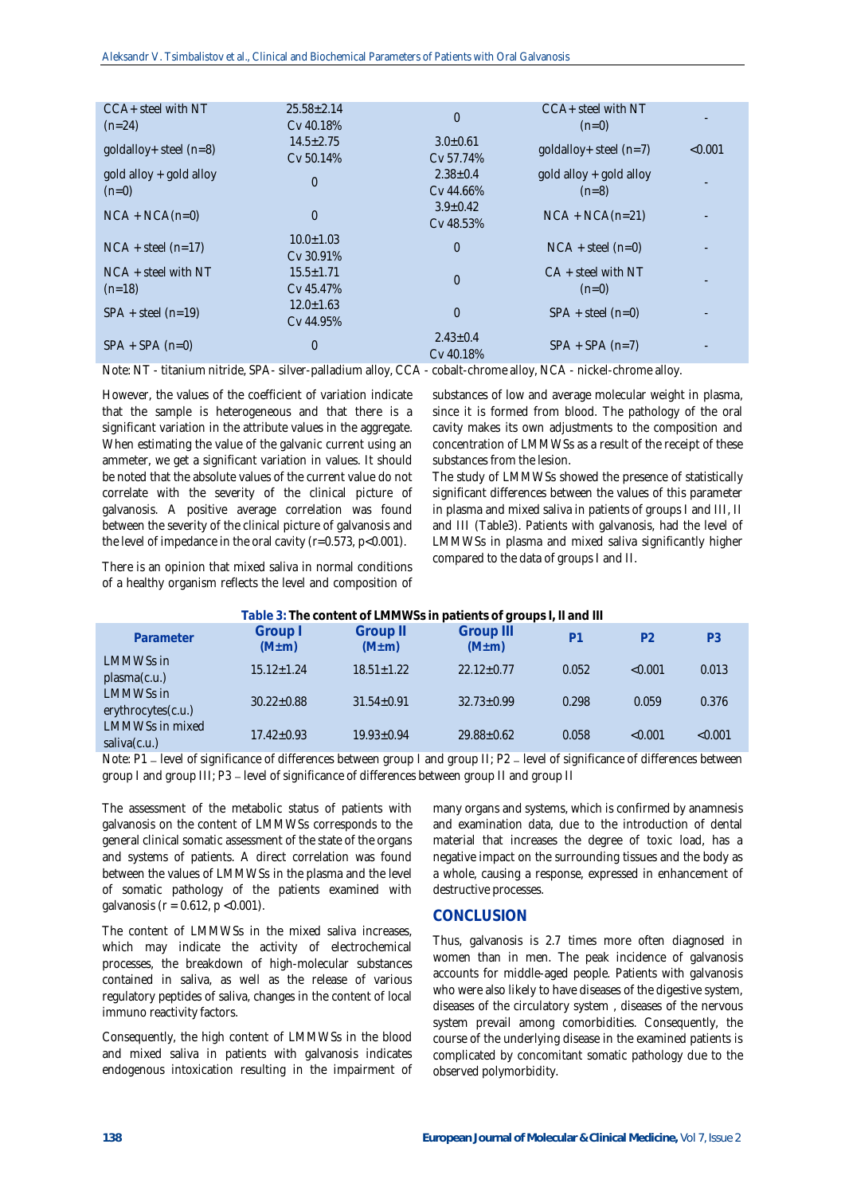| $CCA+$ steel with $NT$            | $25.58 \pm 2.14$ | $\Omega$                              | $CCA +$ steel with NT       |         |
|-----------------------------------|------------------|---------------------------------------|-----------------------------|---------|
| $(n=24)$                          | Cv 40.18%        |                                       | $(n=0)$                     |         |
| $qold alloy + steel (n=8)$        | $14.5 \pm 2.75$  | $3.0 \pm 0.61$                        |                             |         |
|                                   | Cv 50.14%        | Cv 57.74%                             | $qoldallow+steel(n=7)$      | < 0.001 |
| $qold$ alloy + $qold$ alloy       |                  | $2.38 \pm 0.4$                        | $qold$ alloy + $qold$ alloy |         |
|                                   | $\overline{0}$   | Cv 44.66%                             |                             |         |
| $(n=0)$                           |                  |                                       | $(n=8)$                     |         |
| $NCA + NCA(n=0)$                  | $\overline{0}$   | $3.9 \pm 0.42$                        | $NCA + NCA(n=21)$           |         |
|                                   |                  | Cv 48.53%                             |                             |         |
| $NCA + steel (n=17)$              | $10.0 \pm 1.03$  | $\overline{0}$                        |                             |         |
|                                   | $Cv$ 30.91%      |                                       | $NCA + steel (n=0)$         |         |
| $NCA +$ steel with NT<br>$(n=18)$ |                  | $15.5 \pm 1.71$<br>$\overline{0}$     | $CA + steel$ with NT        |         |
|                                   | Cv 45.47%        |                                       | $(n=0)$                     |         |
| $SPA + steel (n=19)$              |                  | $\overline{0}$<br>$SPA + steel (n=0)$ |                             |         |
|                                   | $12.0 \pm 1.63$  |                                       |                             |         |
|                                   | Cv 44.95%        |                                       |                             |         |
| $SPA + SPA (n=0)$                 |                  | $2.43 \pm 0.4$                        |                             |         |
|                                   | $\overline{0}$   | Cv 40.18%                             | $SPA + SPA (n=7)$           |         |
|                                   |                  |                                       |                             |         |

Note: NT - titanium nitride, SPA- silver-palladium alloy, CCA - cobalt-chrome alloy, NCA - nickel-chrome alloy.

However, the values of the coefficient of variation indicate that the sample is heterogeneous and that there is a significant variation in the attribute values in the aggregate. When estimating the value of the galvanic current using an ammeter, we get a significant variation in values. It should be noted that the absolute values of the current value do not correlate with the severity of the clinical picture of galvanosis. A positive average correlation was found between the severity of the clinical picture of galvanosis and the level of impedance in the oral cavity ( $r=0.573$ ,  $p<0.001$ ).

There is an opinion that mixed saliva in normal conditions of a healthy organism reflects the level and composition of

substances of low and average molecular weight in plasma, since it is formed from blood. The pathology of the oral cavity makes its own adjustments to the composition and concentration of LMMWSs as a result of the receipt of these substances from the lesion.

The study of LMMWSs showed the presence of statistically significant differences between the values of this parameter in plasma and mixed saliva in patients of groups I and III, II and III (Table3). Patients with galvanosis, had the level of LMMWSs in plasma and mixed saliva significantly higher compared to the data of groups I and II.

| Table 3: The content of LMMWSs in patients of groups I, II and III |                        |                         |                                 |                |                |                |
|--------------------------------------------------------------------|------------------------|-------------------------|---------------------------------|----------------|----------------|----------------|
| Parameter                                                          | Group I<br>$(M \pm m)$ | Group II<br>$(M \pm m)$ | <b>Group III</b><br>$(M \pm m)$ | P <sub>1</sub> | P <sub>2</sub> | P <sub>3</sub> |
| <b>LMMWSs in</b><br>plasma(c.u.)                                   | $15.12 + 1.24$         | $18.51 + 1.22$          | $22.12+0.77$                    | 0.052          | < 0.001        | 0.013          |
| LMMWSs in<br>erythrocytes(c.u.)                                    | $30.22 + 0.88$         | $31.54 + 0.91$          | $32.73 + 0.99$                  | 0.298          | 0.059          | 0.376          |
| <b>LMMWSs in mixed</b><br>saliva $(c.u.)$                          | $17.42 + 0.93$         | $19.93 + 0.94$          | $29.88 \pm 0.62$                | 0.058          | < 0.001        | < 0.001        |

Note: P1 – level of significance of differences between group I and group II; P2 – level of significance of differences between group I and group III; P3 - level of significance of differences between group II and group II

The assessment of the metabolic status of patients with galvanosis on the content of LMMWSs corresponds to the general clinical somatic assessment of the state of the organs and systems of patients. A direct correlation was found between the values of LMMWSs in the plasma and the level of somatic pathology of the patients examined with galvanosis ( $r = 0.612$ ,  $p < 0.001$ ).

The content of LMMWSs in the mixed saliva increases, which may indicate the activity of electrochemical processes, the breakdown of high-molecular substances contained in saliva, as well as the release of various regulatory peptides of saliva, changes in the content of local immuno reactivity factors.

Consequently, the high content of LMMWSs in the blood and mixed saliva in patients with galvanosis indicates endogenous intoxication resulting in the impairment of many organs and systems, which is confirmed by anamnesis and examination data, due to the introduction of dental material that increases the degree of toxic load, has a negative impact on the surrounding tissues and the body as a whole, causing a response, expressed in enhancement of destructive processes.

## **CONCLUSION**

Thus, galvanosis is 2.7 times more often diagnosed in women than in men. The peak incidence of galvanosis accounts for middle-aged people. Patients with galvanosis who were also likely to have diseases of the digestive system, diseases of the circulatory system , diseases of the nervous system prevail among comorbidities. Consequently, the course of the underlying disease in the examined patients is complicated by concomitant somatic pathology due to the observed polymorbidity.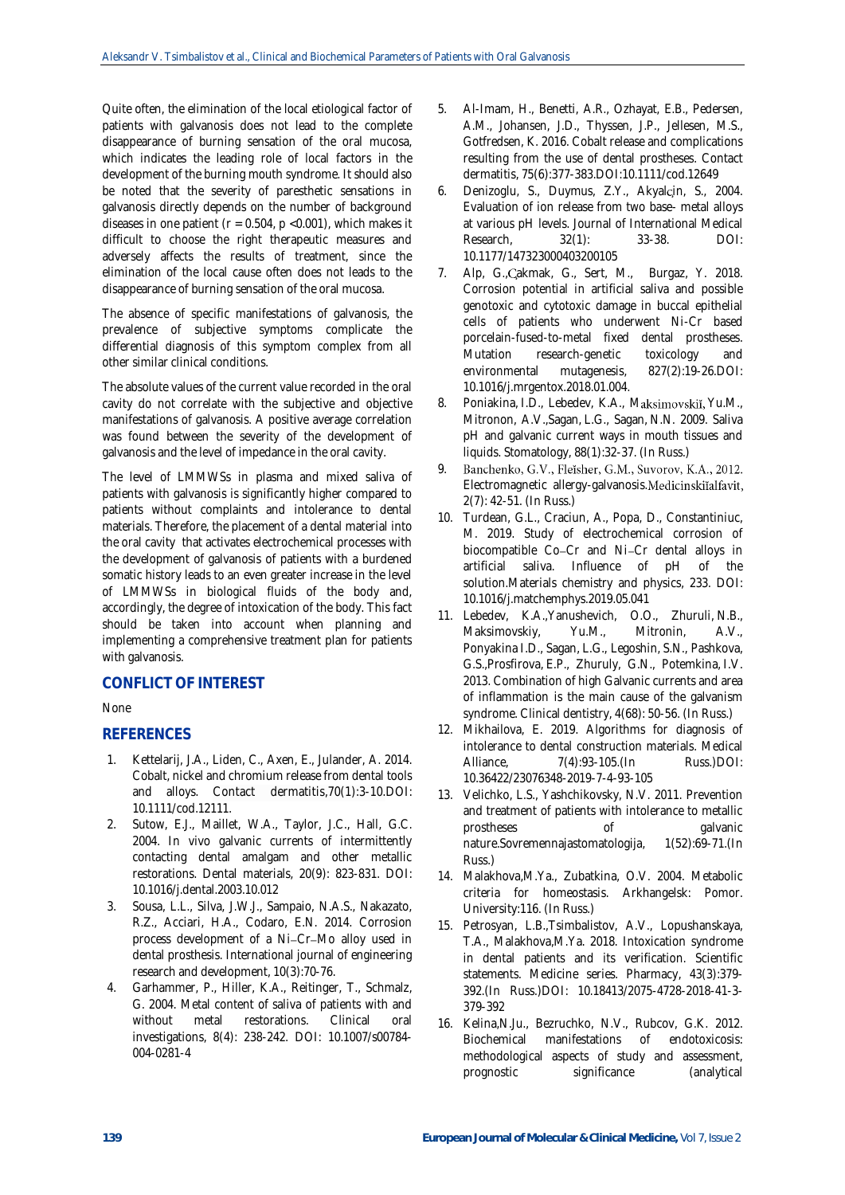Quite often, the elimination of the local etiological factor of patients with galvanosis does not lead to the complete disappearance of burning sensation of the oral mucosa, which indicates the leading role of local factors in the development of the burning mouth syndrome. It should also be noted that the severity of paresthetic sensations in galvanosis directly depends on the number of background diseases in one patient ( $r = 0.504$ ,  $p < 0.001$ ), which makes it difficult to choose the right therapeutic measures and adversely affects the results of treatment, since the elimination of the local cause often does not leads to the disappearance of burning sensation of the oral mucosa.

The absence of specific manifestations of galvanosis, the prevalence of subjective symptoms complicate the differential diagnosis of this symptom complex from all other similar clinical conditions.

The absolute values of the current value recorded in the oral cavity do not correlate with the subjective and objective manifestations of galvanosis. A positive average correlation was found between the severity of the development of galvanosis and the level of impedance in the oral cavity.

The level of LMMWSs in plasma and mixed saliva of patients with galvanosis is significantly higher compared to patients without complaints and intolerance to dental materials. Therefore, the placement of a dental material into the oral cavity that activates electrochemical processes with the development of galvanosis of patients with a burdened somatic history leads to an even greater increase in the level of LMMWSs in biological fluids of the body and, accordingly, the degree of intoxication of the body. This fact should be taken into account when planning and implementing a comprehensive treatment plan for patients with galvanosis.

# **CONFLICT OF INTEREST**

## None

## **REFERENCES**

- 1. Kettelarij, J.A., Liden, C., Axen, E., Julander, A. 2014. Cobalt, nickel and chromium release from dental tools and alloys. Contact dermatitis,70(1):3-10.DOI: 10.1111/cod.12111.
- 2. Sutow, E.J., Maillet, W.A., Taylor, J.C., Hall, G.C. 2004. In vivo galvanic currents of intermittently contacting dental amalgam and other metallic restorations. Dental materials, 20(9): 823-831. DOI: [10.1016/j.dental.2003.10.012](https://doi.org/10.1016/j.dental.2003.10.012)
- 3. Sousa, L.L., Silva, J.W.J., Sampaio, N.A.S., Nakazato, R.Z., Acciari, H.A., Codaro, E.N. 2014. Corrosion process development of a Ni-Cr-Mo alloy used in dental prosthesis. International journal of engineering research and development, 10(3):70-76.
- 4. Garhammer, P., Hiller, K.A., Reitinger, T., Schmalz, G. 2004. Metal content of saliva of patients with and without metal restorations. Clinical oral investigations, 8(4): 238-242. DOI: [10.1007/s00784-](https://www.researchgate.net/deref/http%3A%2F%2Fdx.doi.org%2F10.1007%2Fs00784-004-0281-4) [004-0281-4](https://www.researchgate.net/deref/http%3A%2F%2Fdx.doi.org%2F10.1007%2Fs00784-004-0281-4)
- 5. Al-Imam, H., Benetti, A.R., Ozhayat, E.B., Pedersen, A.M., Johansen, J.D., Thyssen, J.P., Jellesen, M.S., Gotfredsen, K. 2016. Cobalt release and complications resulting from the use of dental prostheses. Contact dermatitis, 75(6):377-383.DO[I:10.1111/cod.12649](https://doi.org/10.1111/cod.12649)
- 6. Denizoglu, S., Duymus, Z.Y., Akyalcin, S., 2004. Evaluation of ion release from two base- metal alloys at various pH levels. Journal of International Medical Research, 32(1): 33-38. DOI: 10.1177/147323000403200105
- 7. Alp, G., Cakmak, G., Sert, M., Burgaz, Y. 2018. Corrosion potential in artificial saliva and possible genotoxic and cytotoxic damage in buccal epithelial cells of patients who underwent Ni-Cr based porcelain-fused-to-metal fixed dental prostheses. Mutation research-genetic toxicology and environmental mutagenesis, 827(2):19-26.DOI: 10.1016/j.mrgentox.2018.01.004.
- 8. Poniakina, I.D., Lebedev, K.A., Maksimovskii, Yu.M., Mitronon, A.V.,Sagan, L.G., Sagan, N.N. 2009. Saliva pH and galvanic current ways in mouth tissues and liquids. Stomatology, 88(1):32-37. (In Russ.)
- Banchenko, G.V., Fleĭsher, G.M., Suvorov, K.A., 2012. 9. Electromagnetic allergy-galvanosis. Medicinskiialfavit, 2(7): 42-51. (In Russ.)
- 10. Turdean, G.L., Craciun, A., Popa, D., Constantiniuc, M. 2019. Study of electrochemical corrosion of biocompatible Co-Cr and Ni-Cr dental alloys in artificial saliva. Influence of pH of the solution.Materials chemistry and physics, 233. DOI: [10.1016/j.matchemphys.2019.05.041](https://www.researchgate.net/deref/http%3A%2F%2Fdx.doi.org%2F10.1016%2Fj.matchemphys.2019.05.041)
- 11. Lebedev, K.A.,Yanushevich, O.O., Zhuruli, N.B., Maksimovskiy, Yu.M., Mitronin, A.V., Ponyakina I.D., Sagan, L.G., Legoshin, S.N., Pashkova, G.S.,Prosfirova, E.P., Zhuruly, G.N., Potemkina, I.V. 2013. Combination of high Galvanic currents and area of inflammation is the main cause of the galvanism syndrome. Clinical dentistry, 4(68): 50-56. (In Russ.)
- 12. Mikhailova, E. 2019. Algorithms for diagnosis of intolerance to dental construction materials. Medical Alliance, 7(4):93-105.(In Russ.)DOI: 10.36422/23076348-2019-7-4-93-105
- 13. Velichko, L.S., Yashchikovsky, N.V. 2011. Prevention and treatment of patients with intolerance to metallic prostheses of galvanic nature.Sovremennajastomatologija, 1(52):69-71.(In Russ.)
- 14. Malakhova,M.Ya., Zubatkina, O.V. 2004. Metabolic criteria for homeostasis. Arkhangelsk: Pomor. University:116. (In Russ.)
- 15. Petrosyan, L.B.,Tsimbalistov, A.V., Lopushanskaya, T.A., Malakhova,M.Ya. 2018. Intoxication syndrome in dental patients and its verification. Scientific statements. Medicine series. Pharmacy, 43(3):379- 392.(In Russ.)DOI: 10.18413/2075-4728-2018-41-3- 379-392
- 16. Kelina,N.Ju., Bezruchko, N.V., Rubcov, G.K. 2012. Biochemical manifestations of endotoxicosis: methodological aspects of study and assessment, prognostic significance (analytical